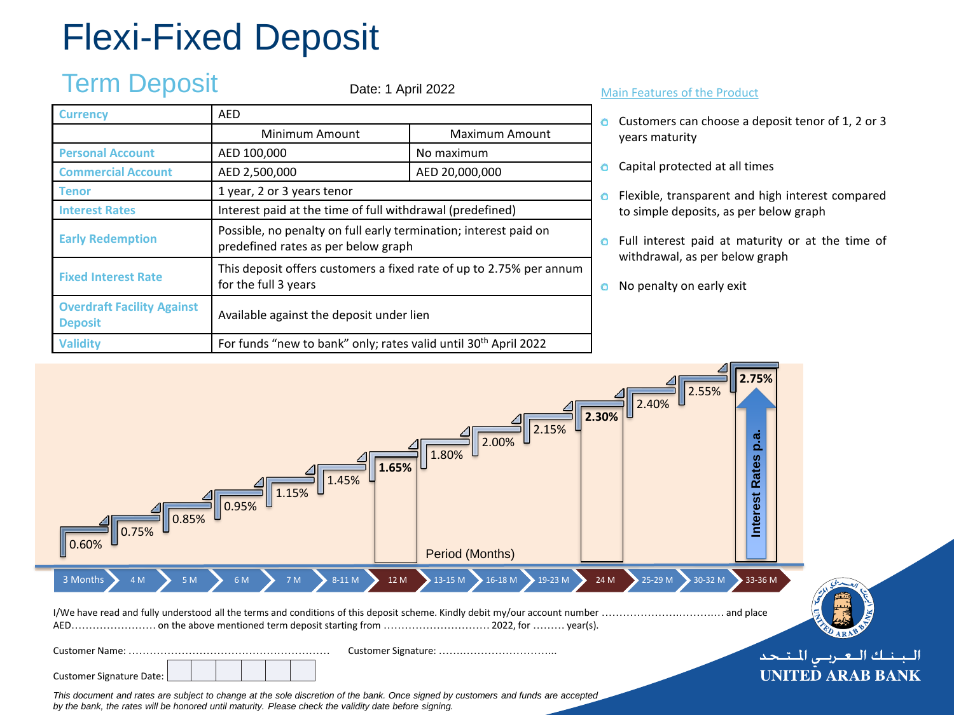# Flexi-Fixed Deposit

## Term Deposit

Date: 1 April 2022

| <b>Currency</b>                                     | <b>AED</b>                                                                                              |                |  |  |  |  |  |
|-----------------------------------------------------|---------------------------------------------------------------------------------------------------------|----------------|--|--|--|--|--|
|                                                     | Minimum Amount                                                                                          | Maximum Amount |  |  |  |  |  |
| <b>Personal Account</b>                             | AED 100,000<br>No maximum                                                                               |                |  |  |  |  |  |
| <b>Commercial Account</b>                           | AED 2,500,000                                                                                           | AED 20,000,000 |  |  |  |  |  |
| Tenor                                               | 1 year, 2 or 3 years tenor                                                                              |                |  |  |  |  |  |
| <b>Interest Rates</b>                               | Interest paid at the time of full withdrawal (predefined)                                               |                |  |  |  |  |  |
| <b>Early Redemption</b>                             | Possible, no penalty on full early termination; interest paid on<br>predefined rates as per below graph |                |  |  |  |  |  |
| <b>Fixed Interest Rate</b>                          | This deposit offers customers a fixed rate of up to 2.75% per annum<br>for the full 3 years             |                |  |  |  |  |  |
| <b>Overdraft Facility Against</b><br><b>Deposit</b> | Available against the deposit under lien                                                                |                |  |  |  |  |  |
| <b>Validity</b>                                     | For funds "new to bank" only; rates valid until 30 <sup>th</sup> April 2022                             |                |  |  |  |  |  |

#### Main Features of the Product

- **O** Customers can choose a deposit tenor of 1, 2 or 3 years maturity
- **o** Capital protected at all times
- **O** Flexible, transparent and high interest compared to simple deposits, as per below graph
- **o** Full interest paid at maturity or at the time of withdrawal, as per below graph
- No penalty on early exit  $\bullet$